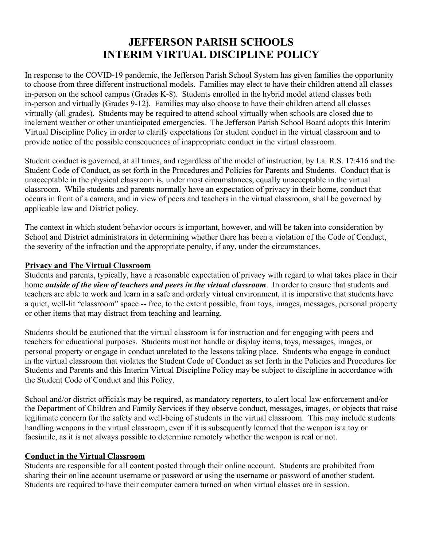### **JEFFERSON PARISH SCHOOLS INTERIM VIRTUAL DISCIPLINE POLICY**

In response to the COVID-19 pandemic, the Jefferson Parish School System has given families the opportunity to choose from three different instructional models. Families may elect to have their children attend all classes in-person on the school campus (Grades K-8). Students enrolled in the hybrid model attend classes both in-person and virtually (Grades 9-12). Families may also choose to have their children attend all classes virtually (all grades). Students may be required to attend school virtually when schools are closed due to inclement weather or other unanticipated emergencies. The Jefferson Parish School Board adopts this Interim Virtual Discipline Policy in order to clarify expectations for student conduct in the virtual classroom and to provide notice of the possible consequences of inappropriate conduct in the virtual classroom.

Student conduct is governed, at all times, and regardless of the model of instruction, by La. R.S. 17:416 and the Student Code of Conduct, as set forth in the Procedures and Policies for Parents and Students. Conduct that is unacceptable in the physical classroom is, under most circumstances, equally unacceptable in the virtual classroom. While students and parents normally have an expectation of privacy in their home, conduct that occurs in front of a camera, and in view of peers and teachers in the virtual classroom, shall be governed by applicable law and District policy.

The context in which student behavior occurs is important, however, and will be taken into consideration by School and District administrators in determining whether there has been a violation of the Code of Conduct, the severity of the infraction and the appropriate penalty, if any, under the circumstances.

#### **Privacy and The Virtual Classroom**

Students and parents, typically, have a reasonable expectation of privacy with regard to what takes place in their home *outside of the view of teachers and peers in the virtual classroom*. In order to ensure that students and teachers are able to work and learn in a safe and orderly virtual environment, it is imperative that students have a quiet, well-lit "classroom" space -- free, to the extent possible, from toys, images, messages, personal property or other items that may distract from teaching and learning.

Students should be cautioned that the virtual classroom is for instruction and for engaging with peers and teachers for educational purposes. Students must not handle or display items, toys, messages, images, or personal property or engage in conduct unrelated to the lessons taking place. Students who engage in conduct in the virtual classroom that violates the Student Code of Conduct as set forth in the Policies and Procedures for Students and Parents and this Interim Virtual Discipline Policy may be subject to discipline in accordance with the Student Code of Conduct and this Policy.

School and/or district officials may be required, as mandatory reporters, to alert local law enforcement and/or the Department of Children and Family Services if they observe conduct, messages, images, or objects that raise legitimate concern for the safety and well-being of students in the virtual classroom. This may include students handling weapons in the virtual classroom, even if it is subsequently learned that the weapon is a toy or facsimile, as it is not always possible to determine remotely whether the weapon is real or not.

#### **Conduct in the Virtual Classroom**

Students are responsible for all content posted through their online account. Students are prohibited from sharing their online account username or password or using the username or password of another student. Students are required to have their computer camera turned on when virtual classes are in session.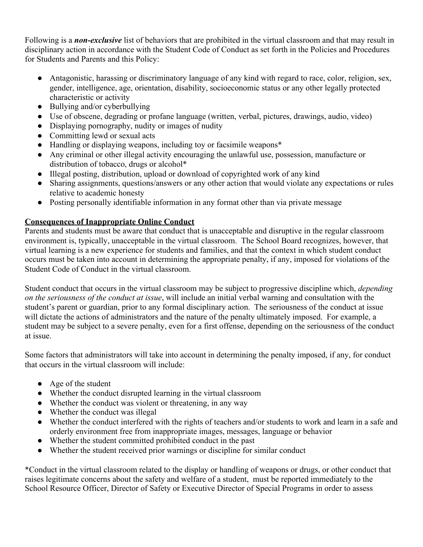Following is a *non-exclusive* list of behaviors that are prohibited in the virtual classroom and that may result in disciplinary action in accordance with the Student Code of Conduct as set forth in the Policies and Procedures for Students and Parents and this Policy:

- Antagonistic, harassing or discriminatory language of any kind with regard to race, color, religion, sex, gender, intelligence, age, orientation, disability, socioeconomic status or any other legally protected characteristic or activity
- Bullying and/or cyberbullying
- Use of obscene, degrading or profane language (written, verbal, pictures, drawings, audio, video)
- Displaying pornography, nudity or images of nudity
- Committing lewd or sexual acts
- Handling or displaying weapons, including toy or facsimile weapons\*
- Any criminal or other illegal activity encouraging the unlawful use, possession, manufacture or distribution of tobacco, drugs or alcohol\*
- Illegal posting, distribution, upload or download of copyrighted work of any kind
- Sharing assignments, questions/answers or any other action that would violate any expectations or rules relative to academic honesty
- Posting personally identifiable information in any format other than via private message

#### **Consequences of Inappropriate Online Conduct**

Parents and students must be aware that conduct that is unacceptable and disruptive in the regular classroom environment is, typically, unacceptable in the virtual classroom. The School Board recognizes, however, that virtual learning is a new experience for students and families, and that the context in which student conduct occurs must be taken into account in determining the appropriate penalty, if any, imposed for violations of the Student Code of Conduct in the virtual classroom.

Student conduct that occurs in the virtual classroom may be subject to progressive discipline which, *depending on the seriousness of the conduct at issue*, will include an initial verbal warning and consultation with the student's parent or guardian, prior to any formal disciplinary action. The seriousness of the conduct at issue will dictate the actions of administrators and the nature of the penalty ultimately imposed. For example, a student may be subject to a severe penalty, even for a first offense, depending on the seriousness of the conduct at issue.

Some factors that administrators will take into account in determining the penalty imposed, if any, for conduct that occurs in the virtual classroom will include:

- Age of the student
- Whether the conduct disrupted learning in the virtual classroom
- Whether the conduct was violent or threatening, in any way
- Whether the conduct was illegal
- Whether the conduct interfered with the rights of teachers and/or students to work and learn in a safe and orderly environment free from inappropriate images, messages, language or behavior
- Whether the student committed prohibited conduct in the past
- Whether the student received prior warnings or discipline for similar conduct

\*Conduct in the virtual classroom related to the display or handling of weapons or drugs, or other conduct that raises legitimate concerns about the safety and welfare of a student, must be reported immediately to the School Resource Officer, Director of Safety or Executive Director of Special Programs in order to assess